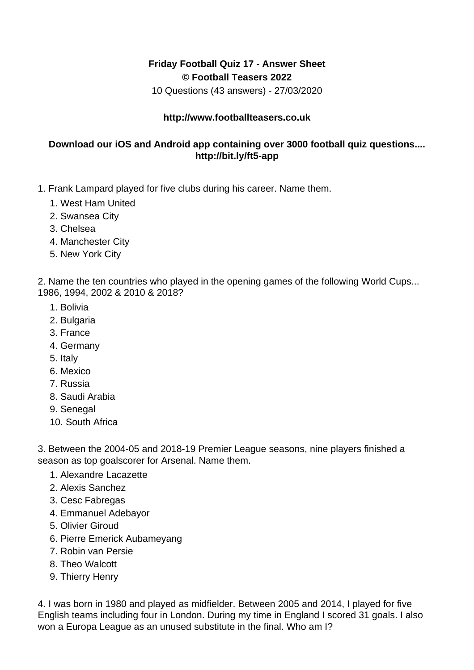## **Friday Football Quiz 17 - Answer Sheet © Football Teasers 2022**

10 Questions (43 answers) - 27/03/2020

## **http://www.footballteasers.co.uk**

## **Download our iOS and Android app containing over 3000 football quiz questions.... http://bit.ly/ft5-app**

- 1. Frank Lampard played for five clubs during his career. Name them.
	- 1. West Ham United
	- 2. Swansea City
	- 3. Chelsea
	- 4. Manchester City
	- 5. New York City

2. Name the ten countries who played in the opening games of the following World Cups... 1986, 1994, 2002 & 2010 & 2018?

- 1. Bolivia
- 2. Bulgaria
- 3. France
- 4. Germany
- 5. Italy
- 6. Mexico
- 7. Russia
- 8. Saudi Arabia
- 9. Senegal
- 10. South Africa

3. Between the 2004-05 and 2018-19 Premier League seasons, nine players finished a season as top goalscorer for Arsenal. Name them.

- 1. Alexandre Lacazette
- 2. Alexis Sanchez
- 3. Cesc Fabregas
- 4. Emmanuel Adebayor
- 5. Olivier Giroud
- 6. Pierre Emerick Aubameyang
- 7. Robin van Persie
- 8. Theo Walcott
- 9. Thierry Henry

4. I was born in 1980 and played as midfielder. Between 2005 and 2014, I played for five English teams including four in London. During my time in England I scored 31 goals. I also won a Europa League as an unused substitute in the final. Who am I?